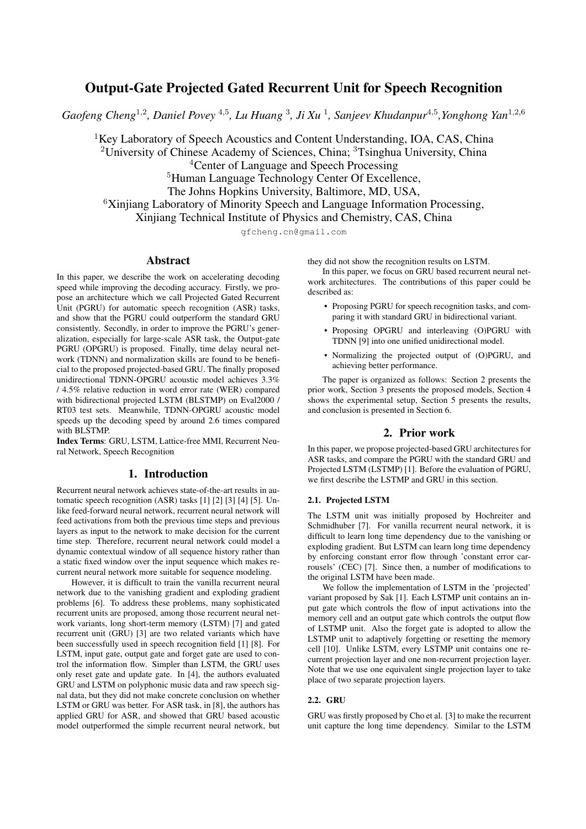# Output-Gate Projected Gated Recurrent Unit for Speech Recognition

Gaofeng Cheng<sup>1,2</sup>, Daniel Povey<sup>4,5</sup>, Lu Huang<sup>3</sup>, Ji Xu<sup>1</sup>, Sanjeev Khudanpur<sup>4,5</sup>, Yonghong Yan<sup>1,2,6</sup>

 ${}^{1}$ Key Laboratory of Speech Acoustics and Content Understanding, IOA, CAS, China

<sup>2</sup>University of Chinese Academy of Sciences, China;  ${}^{3}$ Tsinghua University, China

<sup>4</sup>Center of Language and Speech Processing

<sup>5</sup>Human Language Technology Center Of Excellence,

The Johns Hopkins University, Baltimore, MD, USA,

<sup>6</sup>Xinjiang Laboratory of Minority Speech and Language Information Processing,

Xinjiang Technical Institute of Physics and Chemistry, CAS, China

gfcheng.cn@gmail.com

# Abstract

In this paper, we describe the work on accelerating decoding speed while improving the decoding accuracy. Firstly, we propose an architecture which we call Projected Gated Recurrent Unit (PGRU) for automatic speech recognition (ASR) tasks, and show that the PGRU could outperform the standard GRU consistently. Secondly, in order to improve the PGRU's generalization, especially for large-scale ASR task, the Output-gate PGRU (OPGRU) is proposed. Finally, time delay neural network (TDNN) and normalization skills are found to be beneficial to the proposed projected-based GRU. The finally proposed unidirectional TDNN-OPGRU acoustic model achieves 3.3% / 4.5% relative reduction in word error rate (WER) compared with bidirectional projected LSTM (BLSTMP) on Eval2000 / RT03 test sets. Meanwhile, TDNN-OPGRU acoustic model speeds up the decoding speed by around 2.6 times compared with BLSTMP.

Index Terms: GRU, LSTM, Lattice-free MMI, Recurrent Neural Network, Speech Recognition

# 1. Introduction

Recurrent neural network achieves state-of-the-art results in automatic speech recognition (ASR) tasks [1] [2] [3] [4] [5]. Unlike feed-forward neural network, recurrent neural network will feed activations from both the previous time steps and previous layers as input to the network to make decision for the current time step. Therefore, recurrent neural network could model a dynamic contextual window of all sequence history rather than a static fixed window over the input sequence which makes recurrent neural network more suitable for sequence modeling.

However, it is difficult to train the vanilla recurrent neural network due to the vanishing gradient and exploding gradient problems [6]. To address these problems, many sophisticated recurrent units are proposed, among those recurrent neural network variants, long short-term memory (LSTM) [7] and gated recurrent unit (GRU) [3] are two related variants which have been successfully used in speech recognition field [1] [8]. For LSTM, input gate, output gate and forget gate are used to control the information flow. Simpler than LSTM, the GRU uses only reset gate and update gate. In [4], the authors evaluated GRU and LSTM on polyphonic music data and raw speech signal data, but they did not make concrete conclusion on whether LSTM or GRU was better. For ASR task, in [8], the authors has applied GRU for ASR, and showed that GRU based acoustic model outperformed the simple recurrent neural network, but they did not show the recognition results on LSTM.

In this paper, we focus on GRU based recurrent neural network architectures. The contributions of this paper could be described as:

- Proposing PGRU for speech recognition tasks, and comparing it with standard GRU in bidirectional variant.
- Proposing OPGRU and interleaving (O)PGRU with TDNN [9] into one unified unidirectional model.
- Normalizing the projected output of (O)PGRU, and achieving better performance.

The paper is organized as follows: Section 2 presents the prior work, Section 3 presents the proposed models, Section 4 shows the experimental setup, Section 5 presents the results, and conclusion is presented in Section 6.

# 2. Prior work

In this paper, we propose projected-based GRU architectures for ASR tasks, and compare the PGRU with the standard GRU and Projected LSTM (LSTMP) [1]. Before the evaluation of PGRU, we first describe the LSTMP and GRU in this section.

# 2.1. Projected LSTM

The LSTM unit was initially proposed by Hochreiter and Schmidhuber [7]. For vanilla recurrent neural network, it is difficult to learn long time dependency due to the vanishing or exploding gradient. But LSTM can learn long time dependency by enforcing constant error flow through 'constant error carrousels' (CEC) [7]. Since then, a number of modifications to the original LSTM have been made.

We follow the implementation of LSTM in the 'projected' variant proposed by Sak [1]. Each LSTMP unit contains an input gate which controls the flow of input activations into the memory cell and an output gate which controls the output flow of LSTMP unit. Also the forget gate is adopted to allow the LSTMP unit to adaptively forgetting or resetting the memory cell [10]. Unlike LSTM, every LSTMP unit contains one recurrent projection layer and one non-recurrent projection layer. Note that we use one equivalent single projection layer to take place of two separate projection layers.

### 2.2. GRU

GRU was firstly proposed by Cho et al. [3] to make the recurrent unit capture the long time dependency. Similar to the LSTM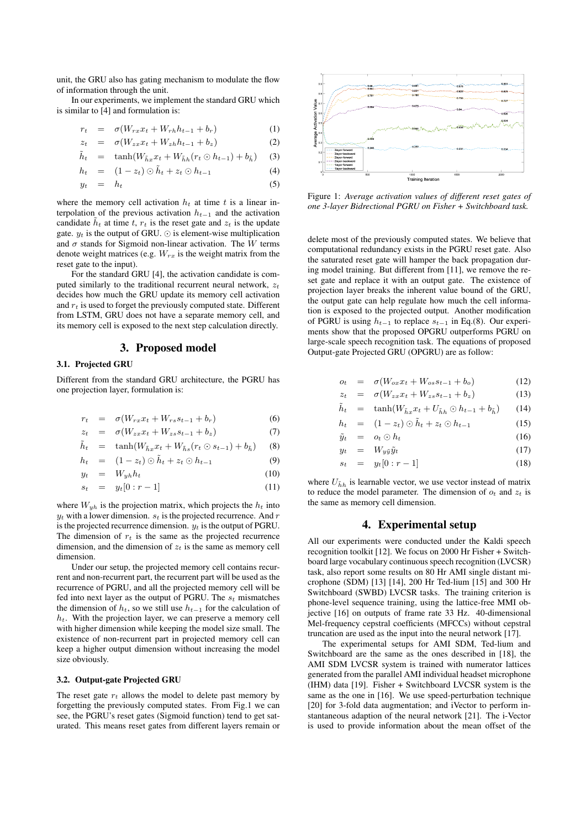unit, the GRU also has gating mechanism to modulate the flow of information through the unit.

In our experiments, we implement the standard GRU which is similar to [4] and formulation is:

$$
r_t = \sigma(W_{rx}x_t + W_{rh}h_{t-1} + b_r) \tag{1}
$$

$$
z_t = \sigma(W_{zx}x_t + W_{zh}h_{t-1} + b_z) \tag{2}
$$

$$
\tilde{h}_t = \tanh(W_{\tilde{h}x}x_t + W_{\tilde{h}h}(r_t \odot h_{t-1}) + b_{\tilde{h}}) \quad (3)
$$

$$
h_t = (1 - z_t) \odot \tilde{h}_t + z_t \odot h_{t-1} \tag{4}
$$

$$
y_t = h_t \tag{5}
$$

where the memory cell activation  $h_t$  at time t is a linear interpolation of the previous activation  $h_{t-1}$  and the activation candidate  $\tilde{h}_t$  at time t,  $r_t$  is the reset gate and  $z_t$  is the update gate.  $y_t$  is the output of GRU.  $\odot$  is element-wise multiplication and  $\sigma$  stands for Sigmoid non-linear activation. The W terms denote weight matrices (e.g.  $W_{rx}$  is the weight matrix from the reset gate to the input).

For the standard GRU [4], the activation candidate is computed similarly to the traditional recurrent neural network,  $z_t$ decides how much the GRU update its memory cell activation and  $r_t$  is used to forget the previously computed state. Different from LSTM, GRU does not have a separate memory cell, and its memory cell is exposed to the next step calculation directly.

# 3. Proposed model

#### 3.1. Projected GRU

Different from the standard GRU architecture, the PGRU has one projection layer, formulation is:

$$
r_t = \sigma(W_{rx}x_t + W_{rs}s_{t-1} + b_r) \tag{6}
$$

$$
z_t = \sigma(W_{zx}x_t + W_{zs}s_{t-1} + b_z) \tag{7}
$$

$$
\tilde{h}_t = \tanh(W_{\tilde{h}x}x_t + W_{\tilde{h}s}(r_t \odot s_{t-1}) + b_{\tilde{h}}) \quad (8)
$$

$$
h_t = (1 - z_t) \odot \tilde{h}_t + z_t \odot h_{t-1} \tag{9}
$$

$$
y_t = W_{yh}h_t \tag{10}
$$

$$
s_t = y_t[0:r-1] \tag{11}
$$

where  $W_{uh}$  is the projection matrix, which projects the  $h_t$  into  $y_t$  with a lower dimension.  $s_t$  is the projected recurrence. And r is the projected recurrence dimension.  $y_t$  is the output of PGRU. The dimension of  $r_t$  is the same as the projected recurrence dimension, and the dimension of  $z_t$  is the same as memory cell dimension.

Under our setup, the projected memory cell contains recurrent and non-recurrent part, the recurrent part will be used as the recurrence of PGRU, and all the projected memory cell will be fed into next layer as the output of PGRU. The  $s_t$  mismatches the dimension of  $h_t$ , so we still use  $h_{t-1}$  for the calculation of  $h_t$ . With the projection layer, we can preserve a memory cell with higher dimension while keeping the model size small. The existence of non-recurrent part in projected memory cell can keep a higher output dimension without increasing the model size obviously.

### 3.2. Output-gate Projected GRU

The reset gate  $r_t$  allows the model to delete past memory by forgetting the previously computed states. From Fig.1 we can see, the PGRU's reset gates (Sigmoid function) tend to get saturated. This means reset gates from different layers remain or



Figure 1: *Average activation values of different reset gates of one 3-layer Bidrectional PGRU on Fisher + Switchboard task.*

delete most of the previously computed states. We believe that computational redundancy exists in the PGRU reset gate. Also the saturated reset gate will hamper the back propagation during model training. But different from [11], we remove the reset gate and replace it with an output gate. The existence of projection layer breaks the inherent value bound of the GRU, the output gate can help regulate how much the cell information is exposed to the projected output. Another modification of PGRU is using  $h_{t-1}$  to replace  $s_{t-1}$  in Eq.(8). Our experiments show that the proposed OPGRU outperforms PGRU on large-scale speech recognition task. The equations of proposed Output-gate Projected GRU (OPGRU) are as follow:

$$
o_t = \sigma(W_{ox}x_t + W_{os}s_{t-1} + b_o) \tag{12}
$$

$$
z_t = \sigma(W_{zx}x_t + W_{zs}s_{t-1} + b_z) \tag{13}
$$

$$
\tilde{h}_t = \tanh(W_{\tilde{h}x}x_t + U_{\tilde{h}h} \odot h_{t-1} + b_{\tilde{h}}) \qquad (14)
$$

$$
h_t = (1 - z_t) \odot \tilde{h}_t + z_t \odot h_{t-1} \tag{15}
$$

$$
\tilde{y}_t = o_t \odot h_t \tag{16}
$$

$$
y_t = W_{y\tilde{y}}\tilde{y}_t \tag{17}
$$

$$
s_t = y_t[0:r-1]
$$
 (18)

where  $U_{\tilde{h}h}$  is learnable vector, we use vector instead of matrix to reduce the model parameter. The dimension of  $o_t$  and  $z_t$  is the same as memory cell dimension.

### 4. Experimental setup

All our experiments were conducted under the Kaldi speech recognition toolkit [12]. We focus on 2000 Hr Fisher + Switchboard large vocabulary continuous speech recognition (LVCSR) task, also report some results on 80 Hr AMI single distant microphone (SDM) [13] [14], 200 Hr Ted-lium [15] and 300 Hr Switchboard (SWBD) LVCSR tasks. The training criterion is phone-level sequence training, using the lattice-free MMI objective [16] on outputs of frame rate 33 Hz. 40-dimensional Mel-frequency cepstral coefficients (MFCCs) without cepstral truncation are used as the input into the neural network [17].

The experimental setups for AMI SDM, Ted-lium and Switchboard are the same as the ones described in [18], the AMI SDM LVCSR system is trained with numerator lattices generated from the parallel AMI individual headset microphone (IHM) data [19]. Fisher + Switchboard LVCSR system is the same as the one in [16]. We use speed-perturbation technique [20] for 3-fold data augmentation; and iVector to perform instantaneous adaption of the neural network [21]. The i-Vector is used to provide information about the mean offset of the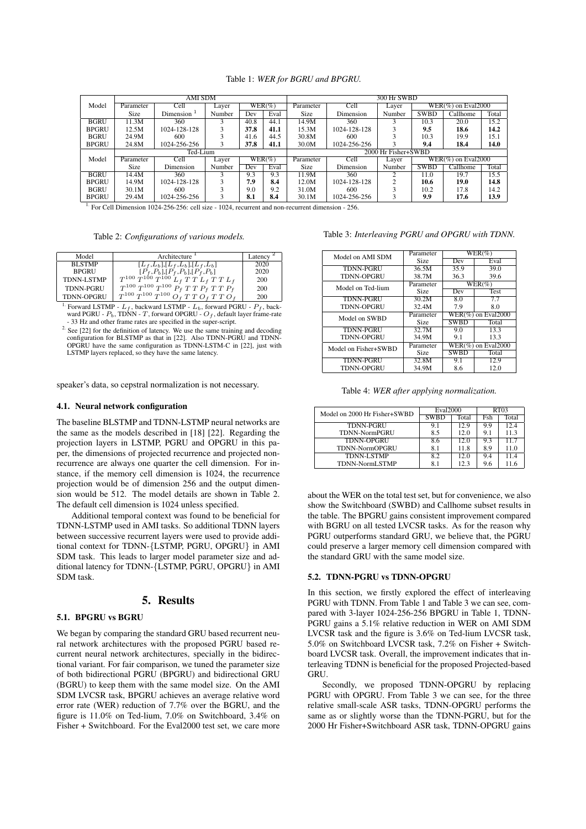|                                                                                                                                                       | AMI SDM   |               |        |                  | 300 Hr SWBD |                     |              |        |             |                       |       |
|-------------------------------------------------------------------------------------------------------------------------------------------------------|-----------|---------------|--------|------------------|-------------|---------------------|--------------|--------|-------------|-----------------------|-------|
| Model                                                                                                                                                 | Parameter | Cell          | Layer  |                  | $WER(\%)$   | Parameter           | Cell         | Layer  |             | $WER(\%)$ on Eval2000 |       |
|                                                                                                                                                       | Size      | Dimension $1$ | Number | Dev              | Eval        | Size                | Dimension    | Number | <b>SWBD</b> | Callhome              | Total |
| <b>BGRU</b>                                                                                                                                           | 11.3M     | 360           |        | 40.8             | 44.1        | 14.9M               | 360          |        | 10.3        | 20.0                  | 15.2  |
| <b>BPGRU</b>                                                                                                                                          | 12.5M     | 1024-128-128  |        | 37.8             | 41.1        | 15.3M               | 1024-128-128 |        | 9.5         | 18.6                  | 14.2  |
| <b>BGRU</b>                                                                                                                                           | 24.9M     | 600           |        | 41.6             | 44.5        | 30.8M               | 600          |        | 10.3        | 19.9                  | 15.1  |
| <b>BPGRU</b>                                                                                                                                          | 24.8M     | 1024-256-256  |        | 37.8             | 41.1        | 30.0M               | 1024-256-256 |        | 9.4         | 18.4                  | 14.0  |
|                                                                                                                                                       |           | Ted-Lium      |        |                  |             | 2000 Hr Fisher+SWBD |              |        |             |                       |       |
| Model                                                                                                                                                 | Parameter | Cell          | Laver  |                  | $WER(\%)$   | Parameter           | Cell         | Laver  |             | $WER(\%)$ on Eval2000 |       |
|                                                                                                                                                       | Size      | Dimension     | Number | $\overline{Dev}$ | Eval        | Size                | Dimension    | Number | <b>SWBD</b> | Callhome              | Total |
| <b>BGRU</b>                                                                                                                                           | 14.4M     | 360           |        | 9.3              | 9.3         | 11.9M               | 360          | 2      | 11.0        | 19.7                  | 15.5  |
| <b>BPGRU</b>                                                                                                                                          | 14.9M     | 1024-128-128  |        | 7.9              | 8.4         | 12.0M               | 1024-128-128 | $\sim$ | 10.6        | 19.0                  | 14.8  |
| <b>BGRU</b>                                                                                                                                           | 30.1M     | 600           |        | 9.0              | 9.2         | 31.0M               | 600          |        | 10.2        | 17.8                  | 14.2  |
| <b>BPGRU</b>                                                                                                                                          | 29.4M     | 1024-256-256  |        | 8.1              | 8.4         | 30.1M               | 1024-256-256 |        | 9.9         | 17.6                  | 13.9  |
| $P = P + P$<br>$\sim$ $\sim$ $\sim$ $\sim$ $\sim$ $\sim$ $\sim$ $\sim$<br>$\cdots$<br>$\sim$ $\sim$ $\sim$ $\sim$<br>$\sim$ $\sim$ $\sim$<br>$\cdots$ |           |               |        |                  |             |                     |              |        |             |                       |       |

Table 1: *WER for BGRU and BPGRU.*

1. For Cell Dimension 1024-256-256: cell size - 1024, recurrent and non-recurrent dimension - 256.

Table 2: *Configurations of various models.*

| Model             | Architecture <sup>1</sup>                        | Latency $\sim$ |
|-------------------|--------------------------------------------------|----------------|
| <b>BLSTMP</b>     | $[L_f, L_b], [L_f, L_b], [L_f, L_b]$             | 2020           |
| <b>BPGRU</b>      |                                                  | 2020           |
| <b>TDNN-LSTMP</b> | $T^{100}T^{100}T^{100}L_f^f,T L_f T L_f T L_f$   | 200            |
| <b>TDNN-PGRU</b>  | $T^{100}T^{100}T^{100}P_{f}T T T P_{f}T T P_{f}$ | 200            |
| <b>TDNN-OPGRU</b> | $T^{100}T^{100}T^{100}O_f T T O_f T T O_f$       | 200            |

<sup>1.</sup> Forward LSTMP -  $L_f$ , backward LSTMP -  $L_b$ , forward PGRU -  $P_f$ , backward PGRU -  $P_b$ , TDNN - T, forward OPGRU -  $O_f$ , default layer frame-rate - 33 Hz and other frame rates are specified in the super-script.

<sup>2.</sup> See [22] for the definition of latency. We use the same training and decoding configuration for BLSTMP as that in [22]. Also TDNN-PGRU and TDNN-OPGRU have the same configuration as TDNN-LSTM-C in [22], just with LSTMP layers replaced, so they have the same latency.

speaker's data, so cepstral normalization is not necessary.

#### 4.1. Neural network configuration

The baseline BLSTMP and TDNN-LSTMP neural networks are the same as the models described in [18] [22]. Regarding the projection layers in LSTMP, PGRU and OPGRU in this paper, the dimensions of projected recurrence and projected nonrecurrence are always one quarter the cell dimension. For instance, if the memory cell dimension is 1024, the recurrence projection would be of dimension 256 and the output dimension would be 512. The model details are shown in Table 2. The default cell dimension is 1024 unless specified.

Additional temporal context was found to be beneficial for TDNN-LSTMP used in AMI tasks. So additional TDNN layers between successive recurrent layers were used to provide additional context for TDNN-{LSTMP, PGRU, OPGRU} in AMI SDM task. This leads to larger model parameter size and additional latency for TDNN-{LSTMP, PGRU, OPGRU} in AMI SDM task.

### 5. Results

# 5.1. BPGRU vs BGRU

We began by comparing the standard GRU based recurrent neural network architectures with the proposed PGRU based recurrent neural network architectures, specially in the bidirectional variant. For fair comparison, we tuned the parameter size of both bidirectional PGRU (BPGRU) and bidirectional GRU (BGRU) to keep them with the same model size. On the AMI SDM LVCSR task, BPGRU achieves an average relative word error rate (WER) reduction of 7.7% over the BGRU, and the figure is 11.0% on Ted-lium, 7.0% on Switchboard, 3.4% on Fisher + Switchboard. For the Eval2000 test set, we care more

Table 3: *Interleaving PGRU and OPGRU with TDNN.*

| Model on AMI SDM     | Parameter | $WER(\%)$                          |                       |  |  |
|----------------------|-----------|------------------------------------|-----------------------|--|--|
|                      | Size      | Dev                                | Eval                  |  |  |
| <b>TDNN-PGRU</b>     | 36.5M     | 35.9                               | 39.0                  |  |  |
| <b>TDNN-OPGRU</b>    | 38.7M     | 36.3                               | 39.6                  |  |  |
| Model on Ted-lium    | Parameter | $\overline{\text{W}}\text{ER}(\%)$ |                       |  |  |
|                      | Size      | Dev                                | Test                  |  |  |
| <b>TDNN-PGRU</b>     | 30.2M     | 8.0                                | 7.7                   |  |  |
| <b>TDNN-OPGRU</b>    | 32.4M     | 7.9                                | 8.0                   |  |  |
| Model on SWBD        | Parameter |                                    | $WER(\%)$ on Eval2000 |  |  |
|                      | Size      | <b>SWBD</b>                        | Total                 |  |  |
| <b>TDNN-PGRU</b>     | 32.7M     | 9.0                                | 13.3                  |  |  |
| <b>TDNN-OPGRU</b>    | 34.9M     | 9.1                                | 13.3                  |  |  |
| Model on Fisher+SWBD | Parameter | $WER(\%)$ on Eval2000              |                       |  |  |
|                      | Size      | <b>SWBD</b>                        | Total                 |  |  |
| <b>TDNN-PGRU</b>     | 32.8M     | 9.1                                | 12.9                  |  |  |
| <b>TDNN-OPGRU</b>    | 34.9M     | 8.6                                | 12.0                  |  |  |

Table 4: *WER after applying normalization.*

| Model on 2000 Hr Fisher+SWBD | Eval2000    |       | RT <sub>03</sub> |       |  |
|------------------------------|-------------|-------|------------------|-------|--|
|                              | <b>SWBD</b> | Total | Fsh              | Total |  |
| <b>TDNN-PGRU</b>             | 9.1         | 12.9  | 9.9              | 12.4  |  |
| <b>TDNN-NormPGRU</b>         | 8.5         | 12.0  | 9.1              | 11.3  |  |
| <b>TDNN-OPGRU</b>            | 8.6         | 12.0  | 9.3              | 11.7  |  |
| <b>TDNN-NormOPGRU</b>        | 8.1         | 11.8  | 8.9              | 11.0  |  |
| <b>TDNN-LSTMP</b>            | 8.2         | 12.0  | 9.4              | 11.4  |  |
| TDNN-NormLSTMP               | 8.1         | 12.3  | 9.6              | 11.6  |  |

about the WER on the total test set, but for convenience, we also show the Switchboard (SWBD) and Callhome subset results in the table. The BPGRU gains consistent improvement compared with BGRU on all tested LVCSR tasks. As for the reason why PGRU outperforms standard GRU, we believe that, the PGRU could preserve a larger memory cell dimension compared with the standard GRU with the same model size.

#### 5.2. TDNN-PGRU vs TDNN-OPGRU

In this section, we firstly explored the effect of interleaving PGRU with TDNN. From Table 1 and Table 3 we can see, compared with 3-layer 1024-256-256 BPGRU in Table 1, TDNN-PGRU gains a 5.1% relative reduction in WER on AMI SDM LVCSR task and the figure is 3.6% on Ted-lium LVCSR task, 5.0% on Switchboard LVCSR task, 7.2% on Fisher + Switchboard LVCSR task. Overall, the improvement indicates that interleaving TDNN is beneficial for the proposed Projected-based **GRU** 

Secondly, we proposed TDNN-OPGRU by replacing PGRU with OPGRU. From Table 3 we can see, for the three relative small-scale ASR tasks, TDNN-OPGRU performs the same as or slightly worse than the TDNN-PGRU, but for the 2000 Hr Fisher+Switchboard ASR task, TDNN-OPGRU gains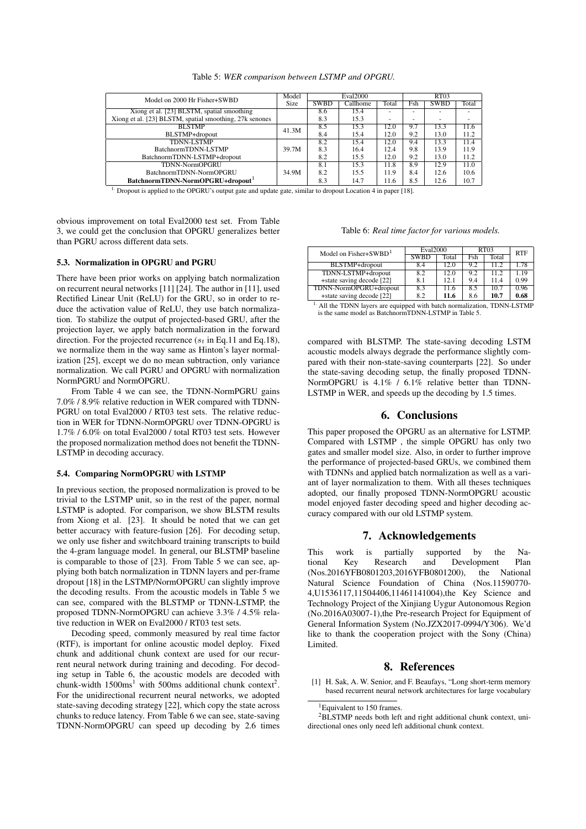|  |  | Table 5: WER comparison between LSTMP and OPGRU. |  |  |  |  |
|--|--|--------------------------------------------------|--|--|--|--|
|--|--|--------------------------------------------------|--|--|--|--|

| Model on 2000 Hr Fisher+SWBD                            | Model | <b>Eval2000</b> |          |       | RT03 |             |                          |
|---------------------------------------------------------|-------|-----------------|----------|-------|------|-------------|--------------------------|
|                                                         | Size  | <b>SWBD</b>     | Callhome | Total | Fsh  | <b>SWBD</b> | Total                    |
| Xiong et al. [23] BLSTM, spatial smoothing              |       | 8.6             | 15.4     |       | ۰    |             |                          |
| Xiong et al. [23] BLSTM, spatial smoothing, 27k senones |       | 8.3             | 15.3     |       | -    | -           | $\overline{\phantom{a}}$ |
| <b>BLSTMP</b>                                           | 41.3M | 8.5             | 15.3     | 12.0  | 9.7  | 13.3        | 11.6                     |
| BLSTMP+dropout                                          |       | 8.4             | 15.4     | 12.0  | 9.2  | 13.0        | 11.2                     |
| <b>TDNN-LSTMP</b>                                       |       | 8.2             | 15.4     | 12.0  | 9.4  | 13.3        | 11.4                     |
| BatchnormTDNN-LSTMP                                     | 39.7M | 8.3             | 16.4     | 12.4  | 9.8  | 13.9        | 11.9                     |
| BatchnormTDNN-LSTMP+dropout                             |       | 8.2             | 15.5     | 12.0  | 9.2  | 13.0        | 11.2                     |
| <b>TDNN-NormOPGRU</b>                                   |       | 8.1             | 15.3     | 11.8  | 8.9  | 12.9        | 11.0                     |
| BatchnormTDNN-NormOPGRU                                 | 34.9M | 8.2             | 15.5     | 11.9  | 8.4  | 12.6        | 10.6                     |
| BatchnormTDNN-NormOPGRU+dropout <sup>1</sup>            |       | 8.3             | 14.7     | 11.6  | 8.5  | 12.6        | 10.7                     |

<sup>1.</sup> Dropout is applied to the OPGRU's output gate and update gate, similar to dropout Location 4 in paper [18].

obvious improvement on total Eval2000 test set. From Table 3, we could get the conclusion that OPGRU generalizes better than PGRU across different data sets.

#### 5.3. Normalization in OPGRU and PGRU

There have been prior works on applying batch normalization on recurrent neural networks [11] [24]. The author in [11], used Rectified Linear Unit (ReLU) for the GRU, so in order to reduce the activation value of ReLU, they use batch normalization. To stabilize the output of projected-based GRU, after the projection layer, we apply batch normalization in the forward direction. For the projected recurrence ( $s_t$  in Eq.11 and Eq.18), we normalize them in the way same as Hinton's layer normalization [25], except we do no mean subtraction, only variance normalization. We call PGRU and OPGRU with normalization NormPGRU and NormOPGRU.

From Table 4 we can see, the TDNN-NormPGRU gains 7.0% / 8.9% relative reduction in WER compared with TDNN-PGRU on total Eval2000 / RT03 test sets. The relative reduction in WER for TDNN-NormOPGRU over TDNN-OPGRU is 1.7% / 6.0% on total Eval2000 / total RT03 test sets. However the proposed normalization method does not benefit the TDNN-LSTMP in decoding accuracy.

### 5.4. Comparing NormOPGRU with LSTMP

In previous section, the proposed normalization is proved to be trivial to the LSTMP unit, so in the rest of the paper, normal LSTMP is adopted. For comparison, we show BLSTM results from Xiong et al. [23]. It should be noted that we can get better accuracy with feature-fusion [26]. For decoding setup, we only use fisher and switchboard training transcripts to build the 4-gram language model. In general, our BLSTMP baseline is comparable to those of [23]. From Table 5 we can see, applying both batch normalization in TDNN layers and per-frame dropout [18] in the LSTMP/NormOPGRU can slightly improve the decoding results. From the acoustic models in Table 5 we can see, compared with the BLSTMP or TDNN-LSTMP, the proposed TDNN-NormOPGRU can achieve 3.3% / 4.5% relative reduction in WER on Eval2000 / RT03 test sets.

Decoding speed, commonly measured by real time factor (RTF), is important for online acoustic model deploy. Fixed chunk and additional chunk context are used for our recurrent neural network during training and decoding. For decoding setup in Table 6, the acoustic models are decoded with chunk-width  $1500\text{ms}^1$  with 500ms additional chunk context<sup>2</sup>. For the unidirectional recurrent neural networks, we adopted state-saving decoding strategy [22], which copy the state across chunks to reduce latency. From Table 6 we can see, state-saving TDNN-NormOPGRU can speed up decoding by 2.6 times

| Table 6: Real time factor for various models. |  |  |  |  |
|-----------------------------------------------|--|--|--|--|
|-----------------------------------------------|--|--|--|--|

| Model on $Fisher+SWBD1$   | Eval2000    |       | RT <sub>03</sub> | <b>RTF</b> |      |
|---------------------------|-------------|-------|------------------|------------|------|
|                           | <b>SWBD</b> | Total | Fsh              | Total      |      |
| BLSTMP+dropout            | 8.4         | 12.0  | 9.2              | 11.2       | 1.78 |
| TDNN-LSTMP+dropout        | 8.2         | 12.0  | 9.2              | 11.2       | 1.19 |
| +state saving decode [22] | 8.1         | 12.1  | 9.4              | 11.4       | 0.99 |
| TDNN-NormOPGRU+dropout    | 8.3         | 11.6  | 8.5              | 10.7       | 0.96 |
| +state saving decode [22] | 8.2         | 11.6  | 8.6              | 10.7       | 0.68 |

| <sup>1.</sup> All the TDNN layers are equipped with batch normalization, TDNN-LSTMP |  |
|-------------------------------------------------------------------------------------|--|
| is the same model as BatchnormTDNN-LSTMP in Table 5.                                |  |

compared with BLSTMP. The state-saving decoding LSTM acoustic models always degrade the performance slightly compared with their non-state-saving counterparts [22]. So under the state-saving decoding setup, the finally proposed TDNN-NormOPGRU is 4.1% / 6.1% relative better than TDNN-LSTMP in WER, and speeds up the decoding by 1.5 times.

# 6. Conclusions

This paper proposed the OPGRU as an alternative for LSTMP. Compared with LSTMP , the simple OPGRU has only two gates and smaller model size. Also, in order to further improve the performance of projected-based GRUs, we combined them with TDNNs and applied batch normalization as well as a variant of layer normalization to them. With all theses techniques adopted, our finally proposed TDNN-NormOPGRU acoustic model enjoyed faster decoding speed and higher decoding accuracy compared with our old LSTMP system.

# 7. Acknowledgements

This work is partially supported by the National Key Research and Development Plan (Nos.2016YFB0801203,2016YFB0801200), the National Natural Science Foundation of China (Nos.11590770- 4,U1536117,11504406,11461141004),the Key Science and Technology Project of the Xinjiang Uygur Autonomous Region (No.2016A03007-1),the Pre-research Project for Equipment of General Information System (No.JZX2017-0994/Y306). We'd like to thank the cooperation project with the Sony (China) Limited.

# 8. References

[1] H. Sak, A. W. Senior, and F. Beaufays, "Long short-term memory based recurrent neural network architectures for large vocabulary

<sup>&</sup>lt;sup>1</sup>Equivalent to 150 frames.

<sup>2</sup>BLSTMP needs both left and right additional chunk context, unidirectional ones only need left additional chunk context.